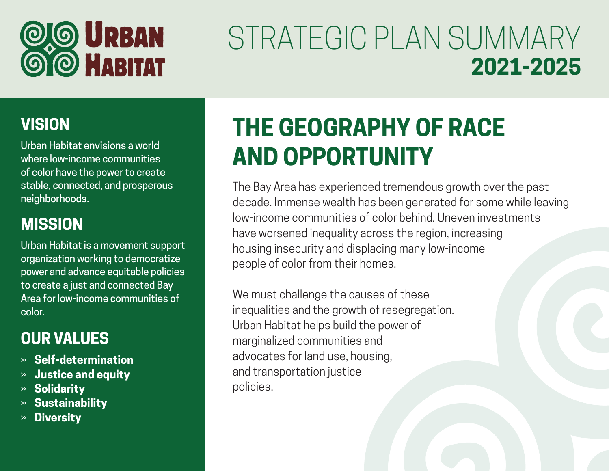

# STRATEGIC PLAN SUMMARY **2021-2025**

#### **VISION**

Urban Habitat envisions a world where low-income communities of color have the power to create stable, connected, and prosperous neighborhoods.

#### **MISSION**

Urban Habitat is a movement support organization working to democratize power and advance equitable policies to create a just and connected Bay Area for low-income communities of color.

#### **OUR VALUES**

- » **Self-determination**
- » **Justice and equity**
- » **Solidarity**
- » **Sustainability**
- » **Diversity**

# **THE GEOGRAPHY OF RACE AND OPPORTUNITY**

The Bay Area has experienced tremendous growth over the past decade. Immense wealth has been generated for some while leaving low-income communities of color behind. Uneven investments have worsened inequality across the region, increasing housing insecurity and displacing many low-income people of color from their homes.

We must challenge the causes of these inequalities and the growth of resegregation. Urban Habitat helps build the power of marginalized communities and advocates for land use, housing, and transportation justice policies.